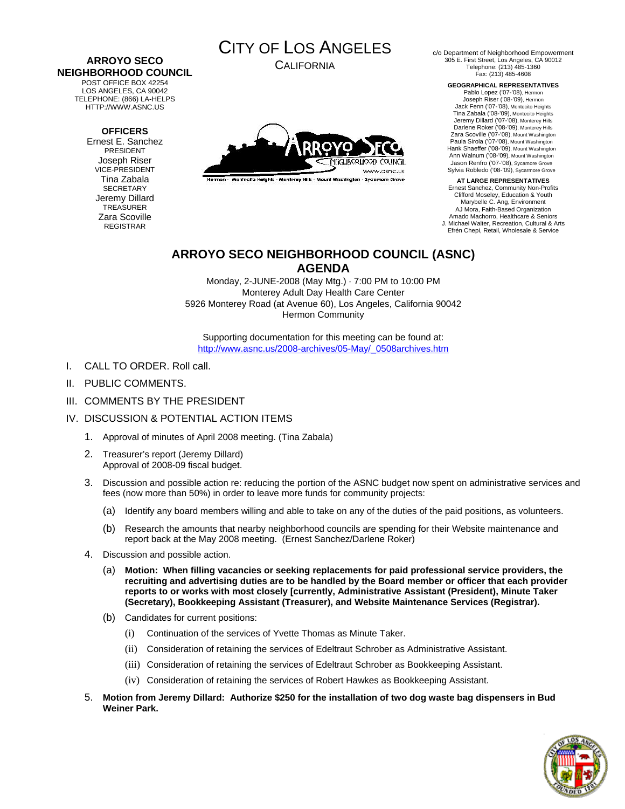#### **ARROYO SECO NEIGHBORHOOD COUNCIL**  POST OFFICE BOX 42254

LOS ANGELES, CA 90042 TELEPHONE: (866) LA-HELPS HTTP://WWW.ASNC.US

### **OFFICERS**

Ernest E. Sanchez PRESIDENT Joseph Riser VICE-PRESIDENT Tina Zabala **SECRETARY** Jeremy Dillard TREASURER Zara Scoville REGISTRAR



CALIFORNIA



Hermon - Montecito Heights - Monterey Hills - Mount Washington - Sycamore Grove

c/o Department of Neighborhood Empowerment 305 E. First Street, Los Angeles, CA 90012 Telephone: (213) 485-1360 Fax: (213) 485-4608

> **GEOGRAPHICAL REPRESENTATIVES**  Pablo Lopez ('07-'08), Hermon Joseph Riser ('08-'09), Hermon Jack Fenn ('07-'08), Montecito Heights Tina Zabala ('08-'09), Montecito Heights

Jeremy Dillard ('07-'08), Monterey Hills Darlene Roker ('08-'09), Monterey Hills Zara Scoville ('07-'08), Mount Washington Paula Sirola ('07-'08), Mount Washington Hank Shaeffer ('08-'09), Mount Washington Ann Walnum ('08-'09), Mount Washington Jason Renfro ('07-'08), Sycamore Grove Sylvia Robledo ('08-'09), Sycarmore Grove

**AT LARGE REPRESENTATIVES**  Ernest Sanchez, Community Non-Profits Clifford Moseley, Education & Youth Marybelle C. Ang, Environment AJ Mora, Faith-Based Organization Amado Machorro, Healthcare & Seniors J. Michael Walter, Recreation, Cultural & Arts Efrén Chepi, Retail, Wholesale & Service

### **ARROYO SECO NEIGHBORHOOD COUNCIL (ASNC) AGENDA**

Monday, 2-JUNE-2008 (May Mtg.) · 7:00 PM to 10:00 PM Monterey Adult Day Health Care Center 5926 Monterey Road (at Avenue 60), Los Angeles, California 90042 Hermon Community

Supporting documentation for this meeting can be found at: http://www.asnc.us/2008-archives/05-May/\_0508archives.htm

- I. CALL TO ORDER. Roll call.
- II. PUBLIC COMMENTS.
- III. COMMENTS BY THE PRESIDENT
- IV. DISCUSSION & POTENTIAL ACTION ITEMS
	- 1. Approval of minutes of April 2008 meeting. (Tina Zabala)
	- 2. Treasurer's report (Jeremy Dillard) Approval of 2008-09 fiscal budget.
	- 3. Discussion and possible action re: reducing the portion of the ASNC budget now spent on administrative services and fees (now more than 50%) in order to leave more funds for community projects:
		- (a) Identify any board members willing and able to take on any of the duties of the paid positions, as volunteers.
		- (b) Research the amounts that nearby neighborhood councils are spending for their Website maintenance and report back at the May 2008 meeting. (Ernest Sanchez/Darlene Roker)
	- 4. Discussion and possible action.
		- (a) **Motion: When filling vacancies or seeking replacements for paid professional service providers, the recruiting and advertising duties are to be handled by the Board member or officer that each provider reports to or works with most closely [currently, Administrative Assistant (President), Minute Taker (Secretary), Bookkeeping Assistant (Treasurer), and Website Maintenance Services (Registrar).**
		- (b) Candidates for current positions:
			- (i) Continuation of the services of Yvette Thomas as Minute Taker.
			- (ii) Consideration of retaining the services of Edeltraut Schrober as Administrative Assistant.
			- (iii) Consideration of retaining the services of Edeltraut Schrober as Bookkeeping Assistant.
			- (iv) Consideration of retaining the services of Robert Hawkes as Bookkeeping Assistant.
	- 5. **Motion from Jeremy Dillard: Authorize \$250 for the installation of two dog waste bag dispensers in Bud Weiner Park.**

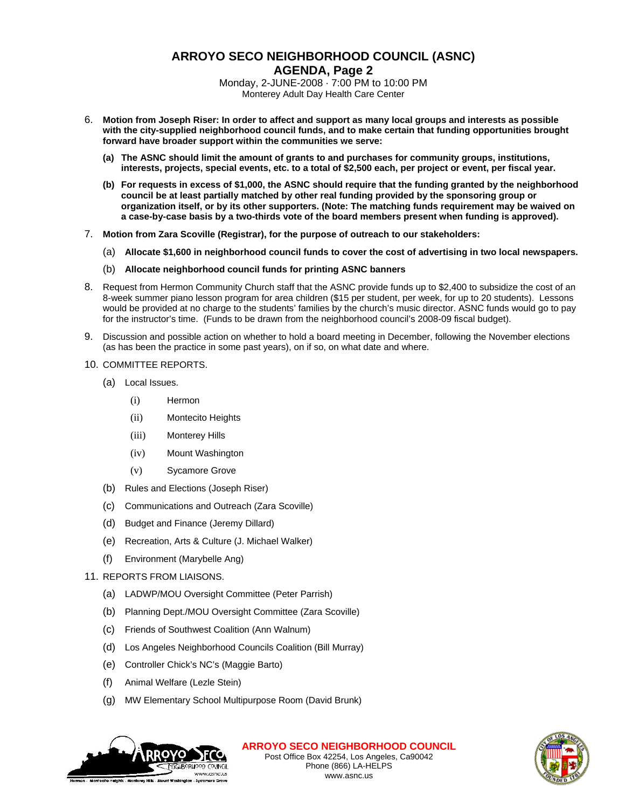# **ARROYO SECO NEIGHBORHOOD COUNCIL (ASNC) AGENDA, Page 2**

Monday, 2-JUNE-2008 · 7:00 PM to 10:00 PM Monterey Adult Day Health Care Center

- 6. **Motion from Joseph Riser: In order to affect and support as many local groups and interests as possible with the city-supplied neighborhood council funds, and to make certain that funding opportunities brought forward have broader support within the communities we serve:** 
	- **(a) The ASNC should limit the amount of grants to and purchases for community groups, institutions, interests, projects, special events, etc. to a total of \$2,500 each, per project or event, per fiscal year.**
	- **(b) For requests in excess of \$1,000, the ASNC should require that the funding granted by the neighborhood council be at least partially matched by other real funding provided by the sponsoring group or organization itself, or by its other supporters. (Note: The matching funds requirement may be waived on a case-by-case basis by a two-thirds vote of the board members present when funding is approved).**
- 7. **Motion from Zara Scoville (Registrar), for the purpose of outreach to our stakeholders:** 
	- (a) **Allocate \$1,600 in neighborhood council funds to cover the cost of advertising in two local newspapers.**
	- (b) **Allocate neighborhood council funds for printing ASNC banners**
- 8. Request from Hermon Community Church staff that the ASNC provide funds up to \$2,400 to subsidize the cost of an 8-week summer piano lesson program for area children (\$15 per student, per week, for up to 20 students). Lessons would be provided at no charge to the students' families by the church's music director. ASNC funds would go to pay for the instructor's time. (Funds to be drawn from the neighborhood council's 2008-09 fiscal budget).
- 9. Discussion and possible action on whether to hold a board meeting in December, following the November elections (as has been the practice in some past years), on if so, on what date and where.
- 10. COMMITTEE REPORTS.
	- (a) Local Issues.
		- (i) Hermon
		- (ii) Montecito Heights
		- (iii) Monterey Hills
		- (iv) Mount Washington
		- (v) Sycamore Grove
	- (b) Rules and Elections (Joseph Riser)
	- (c) Communications and Outreach (Zara Scoville)
	- (d) Budget and Finance (Jeremy Dillard)
	- (e) Recreation, Arts & Culture (J. Michael Walker)
	- (f) Environment (Marybelle Ang)
- 11. REPORTS FROM LIAISONS.
	- (a) LADWP/MOU Oversight Committee (Peter Parrish)
	- (b) Planning Dept./MOU Oversight Committee (Zara Scoville)
	- (c) Friends of Southwest Coalition (Ann Walnum)
	- (d) Los Angeles Neighborhood Councils Coalition (Bill Murray)
	- (e) Controller Chick's NC's (Maggie Barto)
	- (f) Animal Welfare (Lezle Stein)
	- (g) MW Elementary School Multipurpose Room (David Brunk)



**ARROYO SECO NEIGHBORHOOD COUNCIL** Post Office Box 42254, Los Angeles, Ca90042 Phone (866) LA-HELPS www.asnc.us